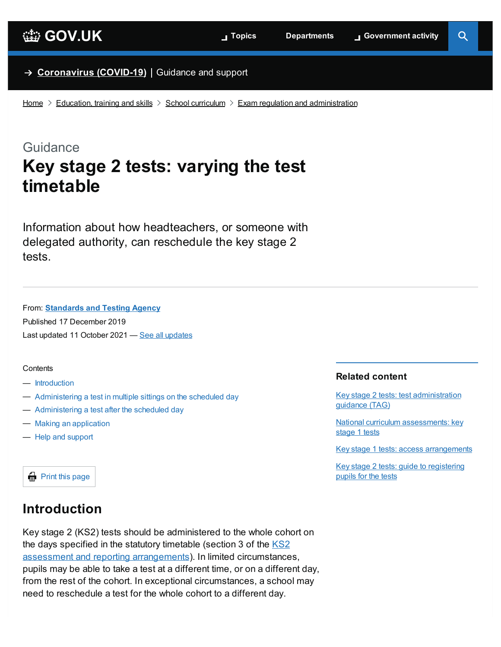#### → **[Coronavirus](https://www.gov.uk/coronavirus) (COVID-19)** Guidance and support

[Home](https://www.gov.uk/)  $\geq$  [Education,](https://www.gov.uk/education) training and skills  $\geq$  School [curriculum](https://www.gov.uk/education/school-curriculum)  $\geq$  Exam regulation and [administration](https://www.gov.uk/education/exam-regulation-and-administration)

# Guidance **Key stage 2 tests: varying the test timetable**

Information about how headteachers, or someone with delegated authority, can reschedule the key stage 2 tests.

From: **[Standards](https://www.gov.uk/government/organisations/standards-and-testing-agency) and Testing Agency**

Published 17 December 2019 Last updated 11 October 2021 — <u>See all [updates](#page-4-0)</u>

#### <span id="page-0-1"></span>**Contents**

- [Introduction](#page-0-0)
- [Administering](#page-1-0) a test in multiple sittings on the scheduled day
- [Administering](#page-2-0) a test after the scheduled day
- Making an [application](#page-3-0)
- Help and [support](#page-4-1)

#### **Related content**

Key stage 2 tests: test [administration](https://www.gov.uk/government/publications/key-stage-2-tests-test-administration-guidance-tag) guidance (TAG)

National curriculum [assessments:](https://www.gov.uk/government/collections/national-curriculum-assessments-key-stage-1-tests) key stage 1 tests

Key stage 1 tests: access [arrangements](https://www.gov.uk/government/publications/key-stage-1-tests-access-arrangements)

Key stage 2 tests: guide to [registering](https://www.gov.uk/guidance/key-stage-2-tests-guide-to-registering-pupils-for-the-tests) pupils for the tests

**Print this page** 

### <span id="page-0-0"></span>**Introduction**

Key stage 2 (KS2) tests should be administered to the whole cohort on the days specified in the statutory timetable (section 3 of the KS2 assessment and reporting [arrangements\).](https://www.gov.uk/government/publications/2022-key-stage-2-assessment-and-reporting-arrangements-ara) In limited circumstances, pupils may be able to take a test at a different time, or on a different day, from the rest of the cohort. In exceptional circumstances, a school may need to reschedule a test for the whole cohort to a different day.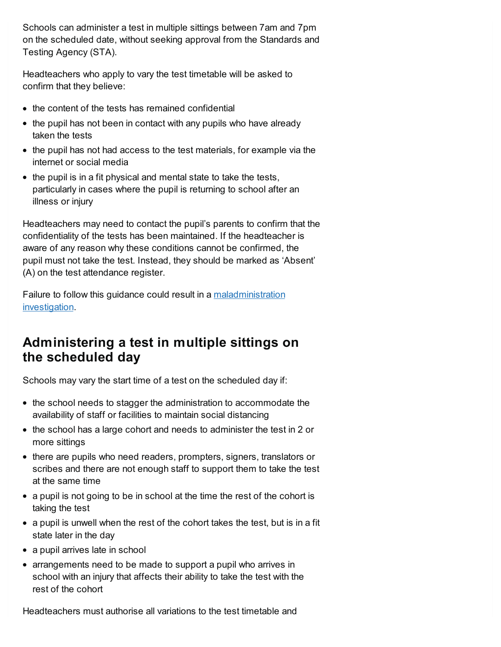Schools can administer a test in multiple sittings between 7am and 7pm on the scheduled date, without seeking approval from the Standards and Testing Agency (STA).

Headteachers who apply to vary the test timetable will be asked to confirm that they believe:

- the content of the tests has remained confidential
- the pupil has not been in contact with any pupils who have already taken the tests
- the pupil has not had access to the test materials, for example via the internet or social media
- $\bullet$  the pupil is in a fit physical and mental state to take the tests, particularly in cases where the pupil is returning to school after an illness or injury

Headteachers may need to contact the pupil's parents to confirm that the confidentiality of the tests has been maintained. If the headteacher is aware of any reason why these conditions cannot be confirmed, the pupil must not take the test. Instead, they should be marked as 'Absent' (A) on the test attendance register.

Failure to follow this guidance could result in a [maladministration](https://www.gov.uk/government/publications/key-stages-1-and-2-investigating-allegations-of-maladministration) investigation.

# <span id="page-1-0"></span>**Administering a test in multiple sittings on the scheduled day**

Schools may vary the start time of a test on the scheduled day if:

- the school needs to stagger the administration to accommodate the availability of staff or facilities to maintain social distancing
- the school has a large cohort and needs to administer the test in 2 or more sittings
- there are pupils who need readers, prompters, signers, translators or scribes and there are not enough staff to support them to take the test at the same time
- a pupil is not going to be in school at the time the rest of the cohort is taking the test
- a pupil is unwell when the rest of the cohort takes the test, but is in a fit state later in the day
- a pupil arrives late in school
- arrangements need to be made to support a pupil who arrives in school with an injury that affects their ability to take the test with the rest of the cohort

Headteachers must authorise all variations to the test timetable and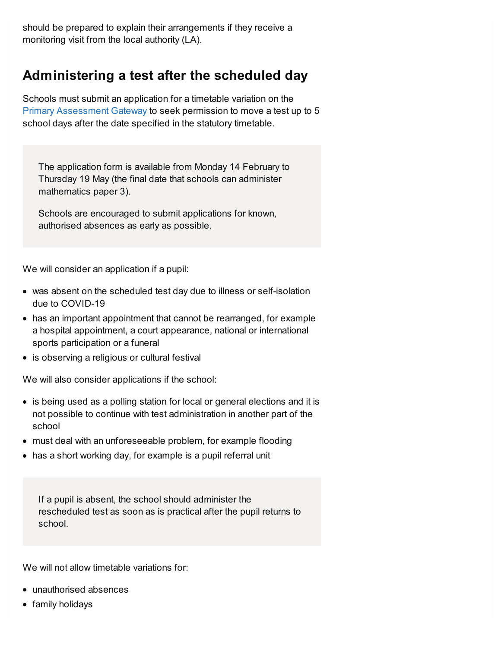should be prepared to explain their arrangements if they receive a monitoring visit from the local authority (LA).

# <span id="page-2-0"></span>**Administering a test after the scheduled day**

Schools must submit an application for a timetable variation on the Primary [Assessment](https://www.primaryassessmentgateway.education.gov.uk/publicaccessproduction/selfservice/citizenportal/login.htm) Gateway to seek permission to move a test up to 5 school days after the date specified in the statutory timetable.

The application form is available from Monday 14 February to Thursday 19 May (the final date that schools can administer mathematics paper 3).

Schools are encouraged to submit applications for known, authorised absences as early as possible.

We will consider an application if a pupil:

- was absent on the scheduled test day due to illness or self-isolation due to COVID-19
- has an important appointment that cannot be rearranged, for example a hospital appointment, a court appearance, national or international sports participation or a funeral
- is observing a religious or cultural festival

We will also consider applications if the school:

- is being used as a polling station for local or general elections and it is not possible to continue with test administration in another part of the school
- must deal with an unforeseeable problem, for example flooding
- has a short working day, for example is a pupil referral unit

If a pupil is absent, the school should administer the rescheduled test as soon as is practical after the pupil returns to school.

We will not allow timetable variations for:

- unauthorised absences
- family holidays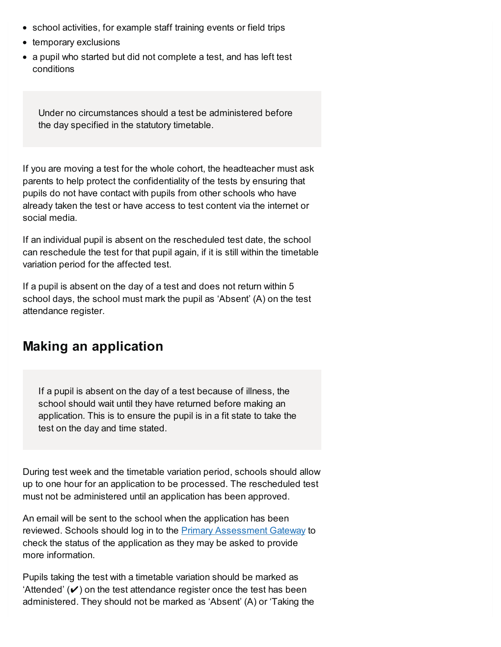- school activities, for example staff training events or field trips
- temporary exclusions
- a pupil who started but did not complete a test, and has left test conditions

Under no circumstances should a test be administered before the day specified in the statutory timetable.

If you are moving a test for the whole cohort, the headteacher must ask parents to help protect the confidentiality of the tests by ensuring that pupils do not have contact with pupils from other schools who have already taken the test or have access to test content via the internet or social media.

If an individual pupil is absent on the rescheduled test date, the school can reschedule the test for that pupil again, if it is still within the timetable variation period for the affected test.

If a pupil is absent on the day of a test and does not return within 5 school days, the school must mark the pupil as 'Absent' (A) on the test attendance register.

## <span id="page-3-0"></span>**Making an application**

If a pupil is absent on the day of a test because of illness, the school should wait until they have returned before making an application. This is to ensure the pupil is in a fit state to take the test on the day and time stated.

During test week and the timetable variation period, schools should allow up to one hour for an application to be processed. The rescheduled test must not be administered until an application has been approved.

An email will be sent to the school when the application has been reviewed. Schools should log in to the Primary [Assessment](https://www.primaryassessmentgateway.education.gov.uk/publicaccessproduction/selfservice/citizenportal/login.htm) Gateway to check the status of the application as they may be asked to provide more information.

Pupils taking the test with a timetable variation should be marked as 'Attended'  $(\vee)$  on the test attendance register once the test has been administered. They should not be marked as 'Absent' (A) or 'Taking the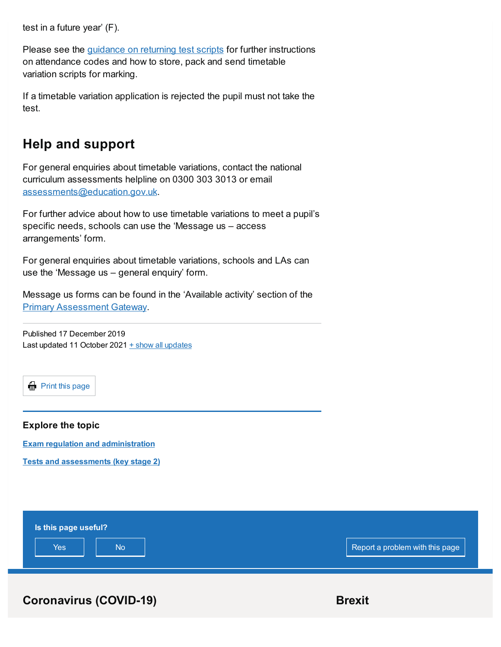test in a future year' (F).

Please see the [guidance](https://www.gov.uk/government/publications/key-stage-2-tests-returning-test-scripts) on returning test scripts for further instructions on attendance codes and how to store, pack and send timetable variation scripts for marking.

If a timetable variation application is rejected the pupil must not take the test.

# <span id="page-4-1"></span>**Help and support**

For general enquiries about timetable variations, contact the national curriculum assessments helpline on 0300 303 3013 or email [assessments@education.gov.uk](mailto:assessments@education.gov.uk).

For further advice about how to use timetable variations to meet a pupil's specific needs, schools can use the 'Message us – access arrangements' form.

For general enquiries about timetable variations, schools and LAs can use the 'Message us – general enquiry' form.

Message us forms can be found in the 'Available activity' section of the Primary [Assessment](https://www.primaryassessmentgateway.education.gov.uk/publicaccessproduction/selfservice/citizenportal/login.htm) Gateway.

<span id="page-4-0"></span>Published 17 December 2019 Last updated 11 October 2021  $+$  show all updates

**Print this page** 

#### **Explore the topic**

**Exam regulation and [administration](https://www.gov.uk/education/exam-regulation-and-administration)**

**Tests and [assessments](https://www.gov.uk/education/primary-curriculum-key-stage-2-tests-and-assessments) (key stage 2)**



**Coronavirus** (COVID-19) **Brexit**